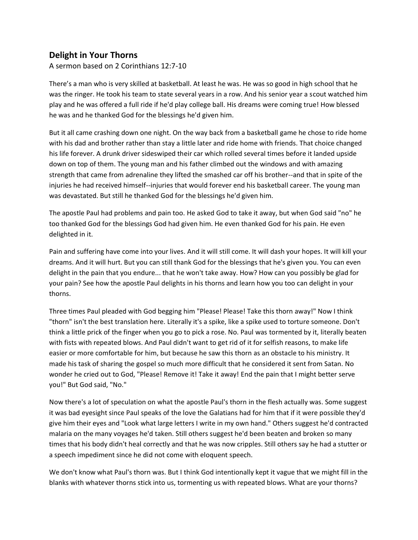## **Delight in Your Thorns**

A sermon based on 2 Corinthians 12:7-10

There's a man who is very skilled at basketball. At least he was. He was so good in high school that he was the ringer. He took his team to state several years in a row. And his senior year a scout watched him play and he was offered a full ride if he'd play college ball. His dreams were coming true! How blessed he was and he thanked God for the blessings he'd given him.

But it all came crashing down one night. On the way back from a basketball game he chose to ride home with his dad and brother rather than stay a little later and ride home with friends. That choice changed his life forever. A drunk driver sideswiped their car which rolled several times before it landed upside down on top of them. The young man and his father climbed out the windows and with amazing strength that came from adrenaline they lifted the smashed car off his brother--and that in spite of the injuries he had received himself--injuries that would forever end his basketball career. The young man was devastated. But still he thanked God for the blessings he'd given him.

The apostle Paul had problems and pain too. He asked God to take it away, but when God said "no" he too thanked God for the blessings God had given him. He even thanked God for his pain. He even delighted in it.

Pain and suffering have come into your lives. And it will still come. It will dash your hopes. It will kill your dreams. And it will hurt. But you can still thank God for the blessings that he's given you. You can even delight in the pain that you endure... that he won't take away. How? How can you possibly be glad for your pain? See how the apostle Paul delights in his thorns and learn how you too can delight in your thorns.

Three times Paul pleaded with God begging him "Please! Please! Take this thorn away!" Now I think "thorn" isn't the best translation here. Literally it's a spike, like a spike used to torture someone. Don't think a little prick of the finger when you go to pick a rose. No. Paul was tormented by it, literally beaten with fists with repeated blows. And Paul didn't want to get rid of it for selfish reasons, to make life easier or more comfortable for him, but because he saw this thorn as an obstacle to his ministry. It made his task of sharing the gospel so much more difficult that he considered it sent from Satan. No wonder he cried out to God, "Please! Remove it! Take it away! End the pain that I might better serve you!" But God said, "No."

Now there's a lot of speculation on what the apostle Paul's thorn in the flesh actually was. Some suggest it was bad eyesight since Paul speaks of the love the Galatians had for him that if it were possible they'd give him their eyes and "Look what large letters I write in my own hand." Others suggest he'd contracted malaria on the many voyages he'd taken. Still others suggest he'd been beaten and broken so many times that his body didn't heal correctly and that he was now cripples. Still others say he had a stutter or a speech impediment since he did not come with eloquent speech.

We don't know what Paul's thorn was. But I think God intentionally kept it vague that we might fill in the blanks with whatever thorns stick into us, tormenting us with repeated blows. What are your thorns?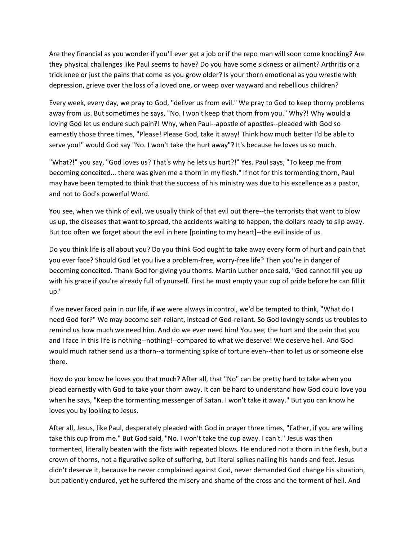Are they financial as you wonder if you'll ever get a job or if the repo man will soon come knocking? Are they physical challenges like Paul seems to have? Do you have some sickness or ailment? Arthritis or a trick knee or just the pains that come as you grow older? Is your thorn emotional as you wrestle with depression, grieve over the loss of a loved one, or weep over wayward and rebellious children?

Every week, every day, we pray to God, "deliver us from evil." We pray to God to keep thorny problems away from us. But sometimes he says, "No. I won't keep that thorn from you." Why?! Why would a loving God let us endure such pain?! Why, when Paul--apostle of apostles--pleaded with God so earnestly those three times, "Please! Please God, take it away! Think how much better I'd be able to serve you!" would God say "No. I won't take the hurt away"? It's because he loves us so much.

"What?!" you say, "God loves us? That's why he lets us hurt?!" Yes. Paul says, "To keep me from becoming conceited... there was given me a thorn in my flesh." If not for this tormenting thorn, Paul may have been tempted to think that the success of his ministry was due to his excellence as a pastor, and not to God's powerful Word.

You see, when we think of evil, we usually think of that evil out there--the terrorists that want to blow us up, the diseases that want to spread, the accidents waiting to happen, the dollars ready to slip away. But too often we forget about the evil in here [pointing to my heart]--the evil inside of us.

Do you think life is all about you? Do you think God ought to take away every form of hurt and pain that you ever face? Should God let you live a problem-free, worry-free life? Then you're in danger of becoming conceited. Thank God for giving you thorns. Martin Luther once said, "God cannot fill you up with his grace if you're already full of yourself. First he must empty your cup of pride before he can fill it up."

If we never faced pain in our life, if we were always in control, we'd be tempted to think, "What do I need God for?" We may become self-reliant, instead of God-reliant. So God lovingly sends us troubles to remind us how much we need him. And do we ever need him! You see, the hurt and the pain that you and I face in this life is nothing--nothing!--compared to what we deserve! We deserve hell. And God would much rather send us a thorn--a tormenting spike of torture even--than to let us or someone else there.

How do you know he loves you that much? After all, that "No" can be pretty hard to take when you plead earnestly with God to take your thorn away. It can be hard to understand how God could love you when he says, "Keep the tormenting messenger of Satan. I won't take it away." But you can know he loves you by looking to Jesus.

After all, Jesus, like Paul, desperately pleaded with God in prayer three times, "Father, if you are willing take this cup from me." But God said, "No. I won't take the cup away. I can't." Jesus was then tormented, literally beaten with the fists with repeated blows. He endured not a thorn in the flesh, but a crown of thorns, not a figurative spike of suffering, but literal spikes nailing his hands and feet. Jesus didn't deserve it, because he never complained against God, never demanded God change his situation, but patiently endured, yet he suffered the misery and shame of the cross and the torment of hell. And